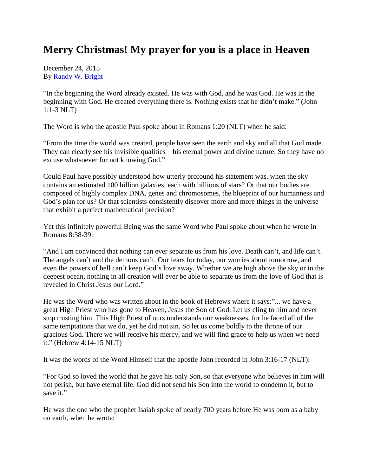## **Merry Christmas! My prayer for you is a place in Heaven**

December 24, 2015 By [Randy W. Bright](http://www.tulsabeacon.com/author/slug-o6yd1v)

"In the beginning the Word already existed. He was with God, and he was God. He was in the beginning with God. He created everything there is. Nothing exists that he didn't make." (John 1:1-3 NLT)

The Word is who the apostle Paul spoke about in Romans 1:20 (NLT) when he said:

"From the time the world was created, people have seen the earth and sky and all that God made. They can clearly see his invisible qualities – his eternal power and divine nature. So they have no excuse whatsoever for not knowing God."

Could Paul have possibly understood how utterly profound his statement was, when the sky contains an estimated 100 billion galaxies, each with billions of stars? Or that our bodies are composed of highly complex DNA, genes and chromosomes, the blueprint of our humanness and God's plan for us? Or that scientists consistently discover more and more things in the universe that exhibit a perfect mathematical precision?

Yet this infinitely powerful Being was the same Word who Paul spoke about when he wrote in Romans 8:38-39:

"And I am convinced that nothing can ever separate us from his love. Death can't, and life can't. The angels can't and the demons can't. Our fears for today, our worries about tomorrow, and even the powers of hell can't keep God's love away. Whether we are high above the sky or in the deepest ocean, nothing in all creation will ever be able to separate us from the love of God that is revealed in Christ Jesus our Lord."

He was the Word who was written about in the book of Hebrews where it says:"... we have a great High Priest who has gone to Heaven, Jesus the Son of God. Let us cling to him and never stop trusting him. This High Priest of ours understands our weaknesses, for he faced all of the same temptations that we do, yet he did not sin. So let us come boldly to the throne of our gracious God. There we will receive his mercy, and we will find grace to help us when we need it." (Hebrew 4:14-15 NLT)

It was the words of the Word Himself that the apostle John recorded in John 3:16-17 (NLT):

"For God so loved the world that he gave his only Son, so that everyone who believes in him will not perish, but have eternal life. God did not send his Son into the world to condemn it, but to save it."

He was the one who the prophet Isaiah spoke of nearly 700 years before He was born as a baby on earth, when he wrote: